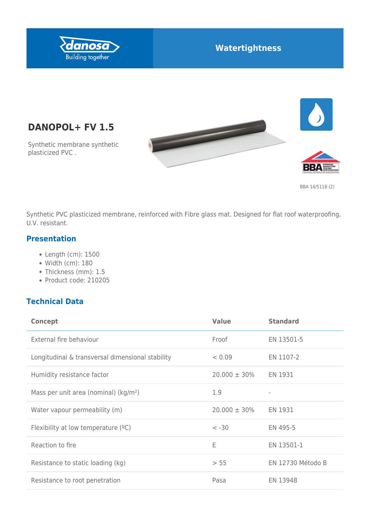

## **Watertightness**





BBA 14/5118 (2)

Synthetic PVC plasticized membrane, reinforced with Fibre glass mat. Designed for flat roof waterproofing, U.V. resistant.

#### **Presentation**

plasticized PVC .

Length (cm): 1500

**DANOPOL+ FV 1.5**

Synthetic membrane synthetic

- Width (cm): 180
- Thickness (mm): 1.5
- Product code: 210205

### **Technical Data**

| <b>Concept</b>                                    | <b>Value</b>      | <b>Standard</b>          |
|---------------------------------------------------|-------------------|--------------------------|
| External fire behaviour                           | Froof             | EN 13501-5               |
| Longitudinal & transversal dimensional stability  | < 0.09            | EN 1107-2                |
| Humidity resistance factor                        | $20.000 \pm 30\%$ | EN 1931                  |
| Mass per unit area (nominal) (kg/m <sup>2</sup> ) | 1.9               | $\overline{\phantom{0}}$ |
| Water vapour permeability (m)                     | $20.000 \pm 30\%$ | EN 1931                  |
| Flexibility at low temperature $(°C)$             | $< -30$           | EN 495-5                 |
| Reaction to fire                                  | E                 | EN 13501-1               |
| Resistance to static loading (kg)                 | > 55              | EN 12730 Método B        |
| Resistance to root penetration                    | Pasa              | EN 13948                 |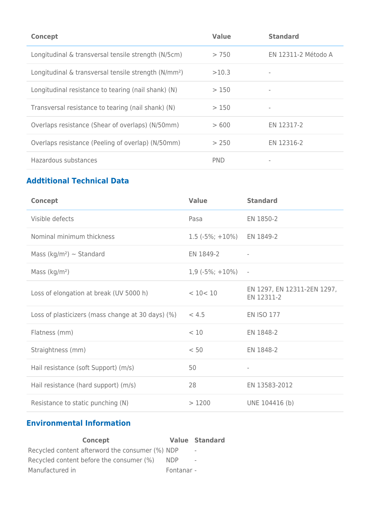| <b>Concept</b>                                                   | <b>Value</b> | <b>Standard</b>          |
|------------------------------------------------------------------|--------------|--------------------------|
| Longitudinal & transversal tensile strength (N/5cm)              | > 750        | EN 12311-2 Método A      |
| Longitudinal & transversal tensile strength (N/mm <sup>2</sup> ) | >10.3        |                          |
| Longitudinal resistance to tearing (nail shank) (N)              | >150         | $\overline{\phantom{0}}$ |
| Transversal resistance to tearing (nail shank) (N)               | >150         |                          |
| Overlaps resistance (Shear of overlaps) (N/50mm)                 | >600         | EN 12317-2               |
| Overlaps resistance (Peeling of overlap) (N/50mm)                | > 250        | EN 12316-2               |
| Hazardous substances                                             | <b>PND</b>   |                          |

## **Addtitional Technical Data**

| <b>Concept</b>                                    | <b>Value</b>       | <b>Standard</b>                           |
|---------------------------------------------------|--------------------|-------------------------------------------|
| Visible defects                                   | Pasa               | EN 1850-2                                 |
| Nominal minimum thickness                         | $1.5(-5\%; +10\%)$ | EN 1849-2                                 |
| Mass (kg/m <sup>2</sup> ) $\sim$ Standard         | EN 1849-2          |                                           |
| Mass $(kg/m2)$                                    | $1,9(-5\%; +10\%)$ | $\overline{\phantom{a}}$                  |
| Loss of elongation at break (UV 5000 h)           | < 10 < 10          | EN 1297, EN 12311-2EN 1297,<br>EN 12311-2 |
| Loss of plasticizers (mass change at 30 days) (%) | < 4.5              | <b>EN ISO 177</b>                         |
| Flatness (mm)                                     | < 10               | EN 1848-2                                 |
| Straightness (mm)                                 | < 50               | EN 1848-2                                 |
| Hail resistance (soft Support) (m/s)              | 50                 | $\overline{\phantom{a}}$                  |
| Hail resistance (hard support) (m/s)              | 28                 | EN 13583-2012                             |
| Resistance to static punching (N)                 | >1200              | UNE 104416 (b)                            |

# **Environmental Information**

| Concept                                         |            | <b>Value Standard</b>    |
|-------------------------------------------------|------------|--------------------------|
| Recycled content afterword the consumer (%) NDP |            | $\overline{\phantom{a}}$ |
| Recycled content before the consumer (%)        | <b>NDP</b> | $\overline{\phantom{a}}$ |
| Manufactured in                                 | Fontanar - |                          |